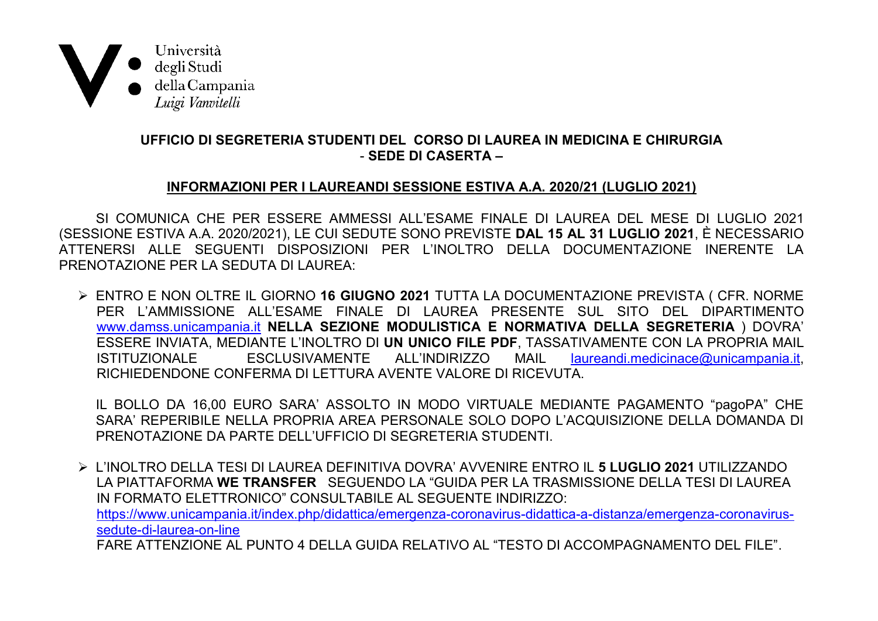

## UFFICIO DI SEGRETERIA STUDENTI DEL CORSO DI LAUREA IN MEDICINA E CHIRURGIA - SEDE DI CASERTA -

## INFORMAZIONI PER I LAUREANDI SESSIONE ESTIVA A.A. 2020/21 (LUGLIO 2021)

SI COMUNICA CHE PER ESSERE AMMESSI ALL'ESAME FINALE DI LAUREA DEL MESE DI LUGLIO 2021 (SESSIONE ESTIVA A.A. 2020/2021), LE CUI SEDUTE SONO PREVISTE DAL 15 AL 31 LUGLIO 2021, È NECESSARIO ATTENERSI ALLE SEGUENTI DISPOSIZIONI PER L'INOLTRO DELLA DOCUMENTAZIONE INFRENTE LA PRENOTAZIONE PER LA SEDUTA DI LAUREA

> ENTRO E NON OLTRE IL GIORNO 16 GIUGNO 2021 TUTTA LA DOCUMENTAZIONE PREVISTA ( CFR. NORME PER L'AMMISSIONE ALL'ESAME FINALE DI LAUREA PRESENTE SUL SITO DEL DIPARTIMENTO www.damss.unicampania.it NELLA SEZIONE MODULISTICA E NORMATIVA DELLA SEGRETERIA ) DOVRA ESSERE INVIATA, MEDIANTE L'INOLTRO DI UN UNICO FILE PDF, TASSATIVAMENTE CON LA PROPRIA MAIL FSCLUSIVAMENTE ALL'INDIRIZZO **MAII ISTITUZIONALE** laureandi.medicinace@unicampania.it. RICHIEDENDONE CONFERMA DI LETTURA AVENTE VALORE DI RICEVUTA.

IL BOLLO DA 16,00 EURO SARA' ASSOLTO IN MODO VIRTUALE MEDIANTE PAGAMENTO "pagoPA" CHE SARA' REPERIBILE NELLA PROPRIA AREA PERSONALE SOLO DOPO L'ACQUISIZIONE DELLA DOMANDA DI PRENOTAZIONE DA PARTE DELL'UFFICIO DI SEGRETERIA STUDENTI.

> L'INOLTRO DELLA TESI DI LAUREA DEFINITIVA DOVRA' AVVENIRE ENTRO IL 5 LUGLIO 2021 UTILIZZANDO LA PIATTAFORMA WE TRANSFER SEGUENDO LA "GUIDA PER LA TRASMISSIONE DELLA TESI DI LAUREA IN FORMATO ELETTRONICO" CONSULTABILE AL SEGUENTE INDIRIZZO: https://www.unicampania.it/index.php/didattica/emergenza-coronavirus-didattica-a-distanza/emergenza-coronavirussedute-di-laurea-on-line FARE ATTENZIONE AL PUNTO 4 DELLA GUIDA RELATIVO AL "TESTO DI ACCOMPAGNAMENTO DEL FILE"